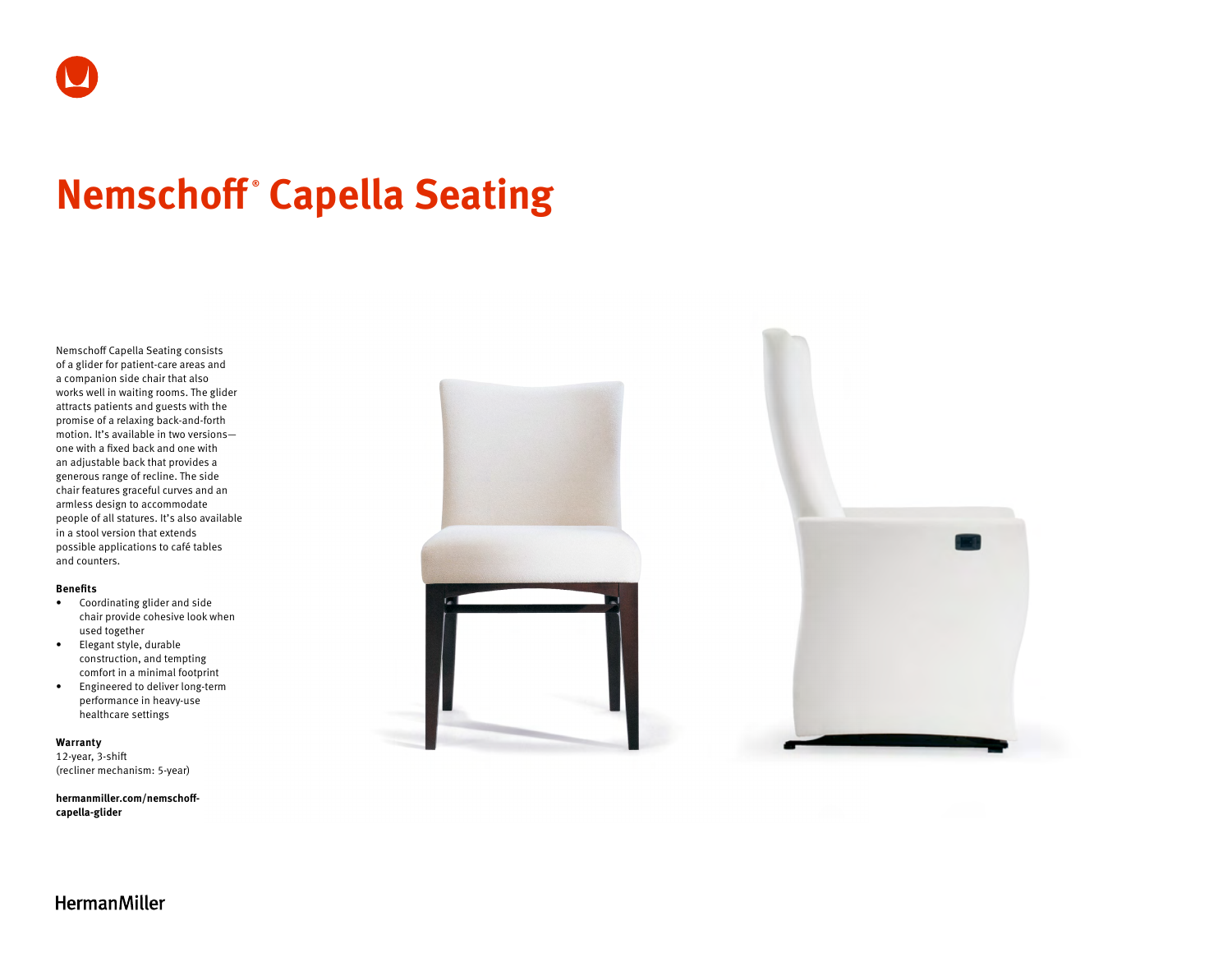# **Nemschoff ® Capella Seating**

Nemschoff Capella Seating consists of a glider for patient-care areas and a companion side chair that also works well in waiting rooms. The glider attracts patients and guests with the promise of a relaxing back-and-forth motion. It's available in two versions one with a fixed back and one with an adjustable back that provides a generous range of recline. The side chair features graceful curves and an armless design to accommodate people of all statures. It's also available in a stool version that extends possible applications to café tables and counters.

#### **Benefits**

- Coordinating glider and side chair provide cohesive look when used together
- Elegant style, durable construction, and tempting comfort in a minimal footprint
- Engineered to deliver long-term performance in heavy-use healthcare settings

#### **Warranty**

12-year, 3-shift (recliner mechanism: 5-year)

**[hermanmiller.com/nemschoff](http://hermanmiller.com/nemschoff-capella-glider)[capella-glider](http://hermanmiller.com/nemschoff-capella-glider)**



**HermanMiller**